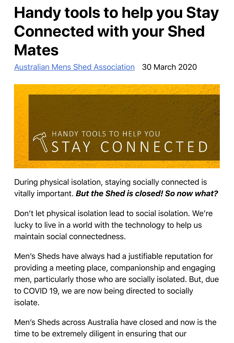# **Handy tools to help you Stay Connected with your Shed Mates**

[Australian Mens Shed Association](https://mensshed.org/theshedonline/author/australian-mens-shed-association/) 30 March 2020



During physical isolation, staying socially connected is vitally important. *But the Shed is closed! So now what?*

Don't let physical isolation lead to social isolation. We're lucky to live in a world with the technology to help us maintain social connectedness.

Men's Sheds have always had a justifiable reputation for providing a meeting place, companionship and engaging men, particularly those who are socially isolated. But, due to COVID 19, we are now being directed to socially isolate.

Men's Sheds across Australia have closed and now is the time to be extremely diligent in ensuring that our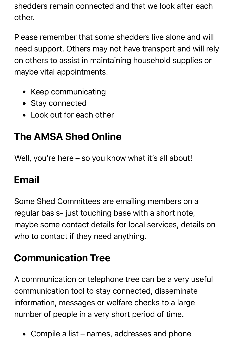shedders remain connected and that we look after each other.

Please remember that some shedders live alone and will need support. Others may not have transport and will rely on others to assist in maintaining household supplies or maybe vital appointments.

- Keep communicating
- Stay connected
- Look out for each other

## **The AMSA Shed Online**

Well, you're here – so you know what it's all about!

## **Email**

Some Shed Committees are emailing members on a regular basis- just touching base with a short note, maybe some contact details for local services, details on who to contact if they need anything.

## **Communication Tree**

A communication or telephone tree can be a very useful communication tool to stay connected, disseminate information, messages or welfare checks to a large number of people in a very short period of time.

Compile a list – names, addresses and phone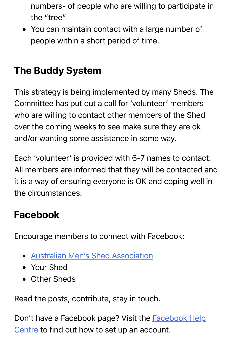numbers- of people who are willing to participate in the "tree"

You can maintain contact with a large number of people within a short period of time.

## **The Buddy System**

This strategy is being implemented by many Sheds. The Committee has put out a call for 'volunteer' members who are willing to contact other members of the Shed over the coming weeks to see make sure they are ok and/or wanting some assistance in some way.

Each 'volunteer' is provided with 6-7 names to contact. All members are informed that they will be contacted and it is a way of ensuring everyone is OK and coping well in the circumstances.

#### **Facebook**

Encourage members to connect with Facebook:

- [Australian Men's Shed Association](https://www.facebook.com/australianmensshedassociation/)
- Your Shed
- Other Sheds

Read the posts, contribute, stay in touch.

Don't have a Facebook page? Visit the **Facebook Help** Centre to find out how to set up an account.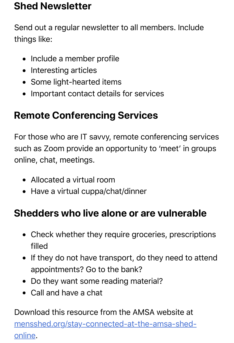#### **Shed Newsletter**

Send out a regular newsletter to all members. Include things like:

- Include a member profile
- Interesting articles
- Some light-hearted items
- Important contact details for services

### **Remote Conferencing Services**

For those who are IT savvy, remote conferencing services such as Zoom provide an opportunity to 'meet' in groups online, chat, meetings.

- Allocated a virtual room
- Have a virtual cuppa/chat/dinner

#### **Shedders who live alone or are vulnerable**

- Check whether they require groceries, prescriptions filled
- If they do not have transport, do they need to attend appointments? Go to the bank?
- Do they want some reading material?
- Call and have a chat

Download this resource from the AMSA website at [mensshed.org/stay-connected-at-the-amsa-shed](https://mensshed.org/stay-connected-at-the-amsa-shed-online/)online.